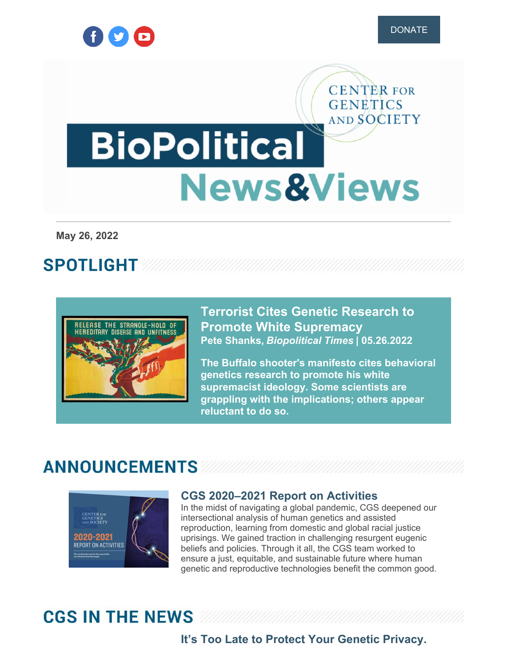

**CENTER FOR GENETICS** 

# AND SOCIETY **BioPolitical News&Views**

**May 26, 2022**

# **SPOTLIGHT**



**Terrorist Cites Genetic Research to Promote White [Supremacy](https://www.geneticsandsociety.org/biopolitical-times/terrorist-cites-genetic-research-promote-white-supremacy) Pete Shanks,** *Biopolitical Times* **| 05.26.2022**

**The Buffalo shooter's manifesto cites behavioral genetics research to promote his white supremacist ideology. Some scientists are grappling with the implications; others appear reluctant to do so.**

# **ANNOUNCEMENTS**



#### **CGS [2020–2021](https://www.geneticsandsociety.org/annual-reports) Report on Activities**

In the midst of navigating a global pandemic, CGS deepened our intersectional analysis of human genetics and assisted reproduction, learning from domestic and global racial justice uprisings. We gained traction in challenging resurgent eugenic beliefs and policies. Through it all, the CGS team worked to ensure a just, equitable, and sustainable future where human genetic and reproductive technologies benefit the common good.

# **CGS IN THE NEWS**

## **It's Too Late to Protect Your Genetic [Privacy.](https://www.geneticsandsociety.org/article/its-too-late-protect-your-genetic-privacy-math-explaining-why)**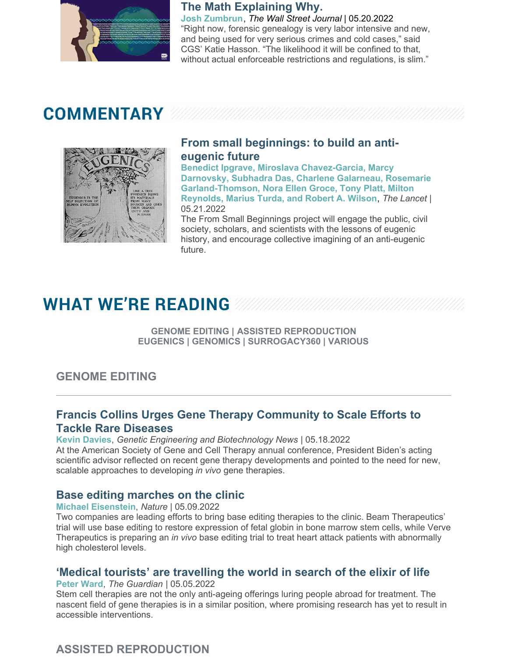

#### **The Math Explaining Why.**

**Josh Zumbrun**, *The Wall Street Journal* | 05.20.2022 "Right now, forensic genealogy is very labor intensive and new, and being used for very serious crimes and cold cases," said CGS' Katie Hasson. "The likelihood it will be confined to that, without actual enforceable restrictions and regulations, is slim."

# **COMMENTARY**



#### **From small [beginnings:](https://www.geneticsandsociety.org/article/small-beginnings-build-anti-eugenic-future) to build an antieugenic future**

**Benedict Ipgrave, Miroslava Chavez-Garcia, Marcy Darnovsky, Subhadra Das, Charlene Galarneau, Rosemarie Garland-Thomson, Nora Ellen Groce, Tony Platt, Milton Reynolds, Marius Turda, and Robert A. Wilson**, *The Lancet* | 05.21.2022

The From Small Beginnings project will engage the public, civil society, scholars, and scientists with the lessons of eugenic history, and encourage collective imagining of an anti-eugenic future.

# **WHAT WE'RE READING WAR**

**GENOME EDITING | ASSISTED REPRODUCTION EUGENICS | GENOMICS | SURROGACY360 | VARIOUS**

## **GENOME EDITING**

#### **Francis Collins Urges Gene Therapy [Community](https://www.geneticsandsociety.org/article/francis-collins-urges-gene-therapy-community-scale-efforts-tackle-rare-diseases) to Scale Efforts to Tackle Rare Diseases**

**Kevin Davies**, *Genetic Engineering and Biotechnology News* | 05.18.2022 At the American Society of Gene and Cell Therapy annual conference, President Biden's acting scientific advisor reflected on recent gene therapy developments and pointed to the need for new, scalable approaches to developing *in vivo* gene therapies.

#### **Base editing [marches](https://www.geneticsandsociety.org/article/base-editing-marches-clinic) on the clinic**

**Michael Eisenstein**, *Nature* | 05.09.2022

Two companies are leading efforts to bring base editing therapies to the clinic. Beam Therapeutics' trial will use base editing to restore expression of fetal globin in bone marrow stem cells, while Verve Therapeutics is preparing an *in vivo* base editing trial to treat heart attack patients with abnormally high cholesterol levels.

### **'Medical tourists' are [travelling](https://www.geneticsandsociety.org/article/medical-tourists-are-travelling-world-search-elixir-life) the world in search of the elixir of life**

**Peter Ward**, *The Guardian* | 05.05.2022

Stem cell therapies are not the only anti-ageing offerings luring people abroad for treatment. The nascent field of gene therapies is in a similar position, where promising research has yet to result in accessible interventions.

# **ASSISTED REPRODUCTION**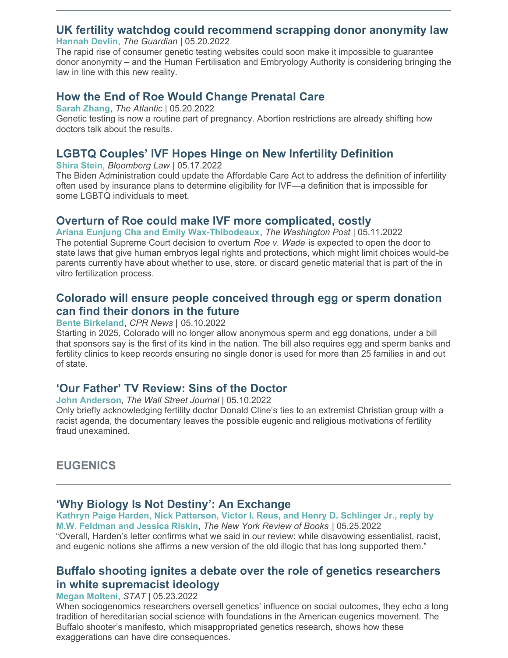#### **UK fertility watchdog could [recommend](https://www.geneticsandsociety.org/article/uk-fertility-watchdog-could-recommend-scrapping-donor-anonymity-law) scrapping donor anonymity law**

**Hannah Devlin**, *The Guardian* | 05.20.2022

The rapid rise of consumer genetic testing websites could soon make it impossible to guarantee donor anonymity – and the Human Fertilisation and Embryology Authority is considering bringing the law in line with this new reality.

#### **How the End of Roe Would Change [Prenatal](https://www.geneticsandsociety.org/article/how-end-roe-would-change-prenatal-care) Care**

**Sarah Zhang**, *The Atlantic* | 05.20.2022

Genetic testing is now a routine part of pregnancy. Abortion restrictions are already shifting how doctors talk about the results.

#### **LGBTQ Couples' IVF Hopes Hinge on New Infertility [Definition](https://www.geneticsandsociety.org/article/lgbtq-couples-ivf-hopes-hinge-new-infertility-definition)**

**Shira Stein**, *Bloomberg Law* | 05.17.2022

The Biden Administration could update the Affordable Care Act to address the definition of infertility often used by insurance plans to determine eligibility for IVF—a definition that is impossible for some LGBTQ individuals to meet.

#### **Overturn of Roe could make IVF more [complicated,](https://www.geneticsandsociety.org/article/overturn-roe-could-make-ivf-more-complicated-costly) costly**

**Ariana Eunjung Cha and Emily Wax-Thibodeaux**, *The Washington Post* | 05.11.2022 The potential Supreme Court decision to overturn *Roe v. Wade* is expected to open the door to state laws that give human embryos legal rights and protections, which might limit choices would-be parents currently have about whether to use, store, or discard genetic material that is part of the in vitro fertilization process.

#### **Colorado will ensure people [conceived](https://www.geneticsandsociety.org/article/colorado-will-ensure-people-conceived-through-egg-or-sperm-donation-can-find-their-donors) through egg or sperm donation can find their donors in the future**

**Bente Birkeland**, *CPR News |* 05.10.2022

Starting in 2025, Colorado will no longer allow anonymous sperm and egg donations, under a bill that sponsors say is the first of its kind in the nation. The bill also requires egg and sperm banks and fertility clinics to keep records ensuring no single donor is used for more than 25 families in and out of state.

#### **'Our Father' TV [Review:](https://www.geneticsandsociety.org/article/our-father-tv-review-sins-doctor) Sins of the Doctor**

**John Anderson**, *The Wall Street Journal* | 05.10.2022

Only briefly acknowledging fertility doctor Donald Cline's ties to an extremist Christian group with a racist agenda, the documentary leaves the possible eugenic and religious motivations of fertility fraud unexamined.

### **EUGENICS**

#### **'Why Biology Is Not Destiny': An [Exchange](https://www.geneticsandsociety.org/article/why-biology-not-destiny-exchange)**

**Kathryn Paige Harden, Nick Patterson, Victor I. Reus, and Henry D. Schlinger Jr., reply by M.W. Feldman and Jessica Riskin**, *The New York Review of Books* | 05.25.2022 "Overall, Harden's letter confirms what we said in our review: while disavowing essentialist, racist, and eugenic notions she affirms a new version of the old illogic that has long supported them."

#### **Buffalo shooting ignites a debate over the role of genetics [researchers](https://www.geneticsandsociety.org/article/buffalo-shooting-ignites-debate-over-role-genetics-researchers-white-supremacist-ideology) in white supremacist ideology**

#### **Megan Molteni**, *STAT* | 05.23.2022

When sociogenomics researchers oversell genetics' influence on social outcomes, they echo a long tradition of hereditarian social science with foundations in the American eugenics movement. The Buffalo shooter's manifesto, which misappropriated genetics research, shows how these exaggerations can have dire consequences.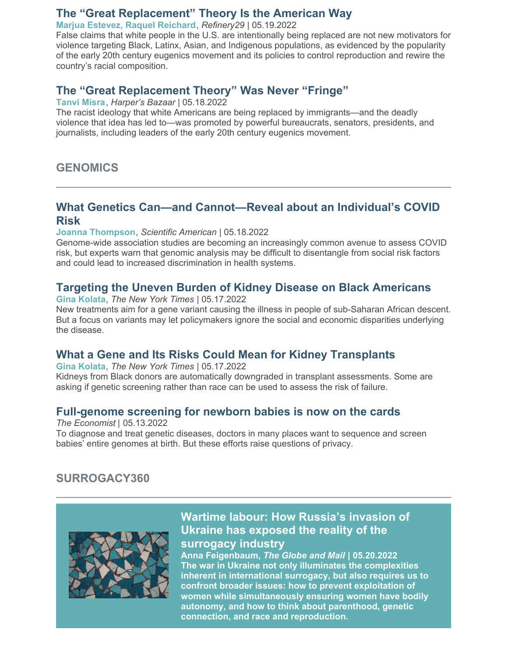#### **The "Great [Replacement"](https://www.geneticsandsociety.org/article/great-replacement-theory-american-way) Theory Is the American Way**

**Marjua Estevez, Raquel Reichard**, *Refinery29* | 05.19.2022

False claims that white people in the U.S. are intentionally being replaced are not new motivators for violence targeting Black, Latinx, Asian, and Indigenous populations, as evidenced by the popularity of the early 20th century eugenics movement and its policies to control reproduction and rewire the country's racial composition.

#### **[The](https://www.geneticsandsociety.org/article/great-replacement-theory-was-never-fringe) ["G](https://www.geneticsandsociety.org/article/great-replacement-theory-american-way)reat [Replacement](https://www.geneticsandsociety.org/article/great-replacement-theory-was-never-fringe) Theor[y"](https://www.geneticsandsociety.org/article/great-replacement-theory-american-way) Was [Never](https://www.geneticsandsociety.org/article/great-replacement-theory-was-never-fringe) ["](https://www.geneticsandsociety.org/article/great-replacement-theory-american-way)[Fringe](https://www.geneticsandsociety.org/article/great-replacement-theory-was-never-fringe)["](https://www.geneticsandsociety.org/article/great-replacement-theory-american-way)**

**Tanvi Misra**, *Harper's Bazaar* | 05.18.2022

The racist ideology that white Americans are being replaced by immigrants—and the deadly violence that idea has led to—was promoted by powerful bureaucrats, senators, presidents, and journalists, including leaders of the early 20th century eugenics movement.

**GENOMICS**

#### **What Genetics Can—and [Cannot—Reveal](https://www.geneticsandsociety.org/article/what-genetics-can-and-cannot-reveal-about-individuals-covid-risk) about an Individual's COVID Risk**

**Joanna Thompson**, *Scientific American* | 05.18.2022

Genome-wide association studies are becoming an increasingly common avenue to assess COVID risk, but experts warn that genomic analysis may be difficult to disentangle from social risk factors and could lead to increased discrimination in health systems.

#### **Targeting the Uneven Burden of Kidney Disease on Black [Americans](https://www.geneticsandsociety.org/article/targeting-uneven-burden-kidney-disease-black-americans)**

**Gina Kolata**, *The New York Times* | 05.17.2022

New treatments aim for a gene variant causing the illness in people of sub-Saharan African descent. But a focus on variants may let policymakers ignore the social and economic disparities underlying the disease.

#### **What a Gene and Its Risks Could Mean for Kidney [Transplants](https://www.geneticsandsociety.org/article/what-gene-and-its-risks-could-mean-kidney-transplants)**

**Gina Kolata**, *The New York Times* | 05.17.2022 Kidneys from Black donors are automatically downgraded in transplant assessments. Some are asking if genetic screening rather than race can be used to assess the risk of failure.

#### **[Full-genome](https://www.geneticsandsociety.org/article/full-genome-screening-newborn-babies-now-cards) screening for newborn babies is now on the cards**

*The Economist* | 05.13.2022 To diagnose and treat genetic diseases, doctors in many places want to sequence and screen babies' entire genomes at birth. But these efforts raise questions of privacy.

## **SURROGACY360**



### **Wartime labour: How Russia's invasion of Ukraine has exposed the reality of the [surrogacy](https://surrogacy360.org/2022/05/26/wartime-labour-how-russias-invasion-of-ukraine-has-exposed-the-reality-of-the-surrogacy-industry/) industry**

**Anna Feigenbaum,** *The Globe and Mail* **| 05.20.2022 The war in Ukraine not only illuminates the complexities inherent in international surrogacy, but also requires us to confront broader issues: how to prevent exploitation of women while simultaneously ensuring women have bodily autonomy, and how to think about parenthood, genetic connection, and race and reproduction.**